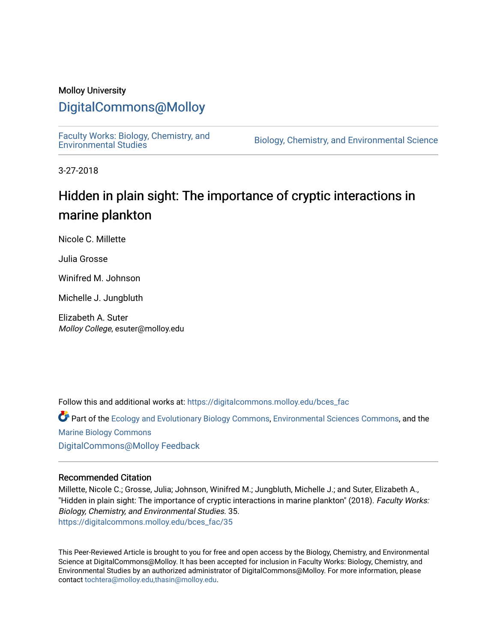# Molloy University

# [DigitalCommons@Molloy](https://digitalcommons.molloy.edu/)

[Faculty Works: Biology, Chemistry, and](https://digitalcommons.molloy.edu/bces_fac) 

Biology, Chemistry, and Environmental Science

3-27-2018

# Hidden in plain sight: The importance of cryptic interactions in marine plankton

Nicole C. Millette

Julia Grosse

Winifred M. Johnson

Michelle J. Jungbluth

Elizabeth A. Suter Molloy College, esuter@molloy.edu

Follow this and additional works at: [https://digitalcommons.molloy.edu/bces\\_fac](https://digitalcommons.molloy.edu/bces_fac?utm_source=digitalcommons.molloy.edu%2Fbces_fac%2F35&utm_medium=PDF&utm_campaign=PDFCoverPages)

Part of the [Ecology and Evolutionary Biology Commons](https://network.bepress.com/hgg/discipline/14?utm_source=digitalcommons.molloy.edu%2Fbces_fac%2F35&utm_medium=PDF&utm_campaign=PDFCoverPages), [Environmental Sciences Commons,](https://network.bepress.com/hgg/discipline/167?utm_source=digitalcommons.molloy.edu%2Fbces_fac%2F35&utm_medium=PDF&utm_campaign=PDFCoverPages) and the [Marine Biology Commons](https://network.bepress.com/hgg/discipline/1126?utm_source=digitalcommons.molloy.edu%2Fbces_fac%2F35&utm_medium=PDF&utm_campaign=PDFCoverPages)  [DigitalCommons@Molloy Feedback](https://molloy.libwizard.com/f/dcfeedback)

# Recommended Citation

Millette, Nicole C.; Grosse, Julia; Johnson, Winifred M.; Jungbluth, Michelle J.; and Suter, Elizabeth A., "Hidden in plain sight: The importance of cryptic interactions in marine plankton" (2018). Faculty Works: Biology, Chemistry, and Environmental Studies. 35. [https://digitalcommons.molloy.edu/bces\\_fac/35](https://digitalcommons.molloy.edu/bces_fac/35?utm_source=digitalcommons.molloy.edu%2Fbces_fac%2F35&utm_medium=PDF&utm_campaign=PDFCoverPages) 

This Peer-Reviewed Article is brought to you for free and open access by the Biology, Chemistry, and Environmental Science at DigitalCommons@Molloy. It has been accepted for inclusion in Faculty Works: Biology, Chemistry, and Environmental Studies by an authorized administrator of DigitalCommons@Molloy. For more information, please contact [tochtera@molloy.edu,thasin@molloy.edu.](mailto:tochtera@molloy.edu,thasin@molloy.edu)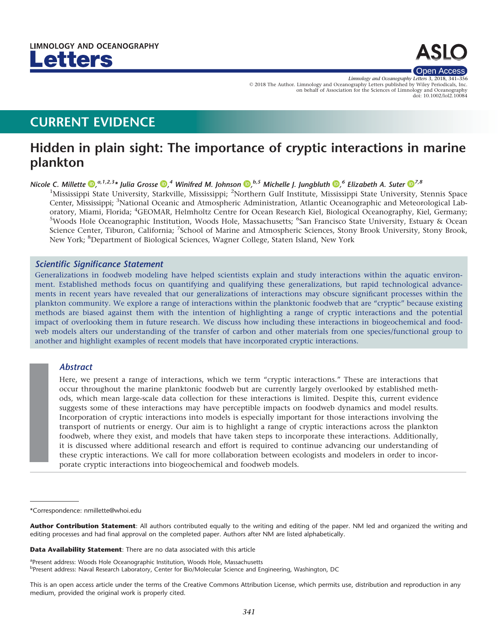

Limnology and Oceanography Letters 00, 2018, 00–00 V<sup>C</sup> 2018 The Author. Limnology and Oceanography Letters published by Wiley Periodicals, Inc. *Limnology and Oceanography Letters* 3, 2018, 341–356 on behalf of Association for the Sciences of Limnology and Oceanography doi: 10.1002/lol2.10084

# CURRENT EVIDENCE

# Hidden in plain sight: The importance of cryptic interactions in marine plankton

Nicole C. Millette  $\Phi$ [,](http://orcid.org/0000-0001-9339-7497)<sup>a,1,2,3</sup>\* Julia Grosse  $\Phi$ ,<sup>4</sup> Winifred M. Johnson  $\Phi$ ,<sup>b,5</sup> Michelle J. Jungbluth  $\Phi$ ,<sup>6</sup> Elizabeth A. Suter  $\Phi^{7,8}$ 

<sup>1</sup>Mississippi State University, Starkville, Mississippi; <sup>2</sup>Northern Gulf Institute, Mississippi State University, Stennis Space Center, Mississippi; <sup>3</sup>National Oceanic and Atmospheric Administration, Atlantic Oceanographic and Meteorological Laboratory, Miami, Florida; <sup>4</sup>GEOMAR, Helmholtz Centre for Ocean Research Kiel, Biological Oceanography, Kiel, Germany;<br><sup>5</sup>Woods Hole Oceanographic Institution, Woods Hole, Massachusetts: <sup>6</sup>San Francisco State University, E Woods Hole Oceanographic Institution, Woods Hole, Massachusetts; <sup>6</sup>San Francisco State University, Estuary & Ocean Science Center, Tiburon, California; <sup>7</sup>School of Marine and Atmospheric Sciences, Stony Brook University, Stony Brook, New York; <sup>8</sup>Department of Biological Sciences, Wagner College, Staten Island, New York

## Scientific Significance Statement

Generalizations in foodweb modeling have helped scientists explain and study interactions within the aquatic environment. Established methods focus on quantifying and qualifying these generalizations, but rapid technological advancements in recent years have revealed that our generalizations of interactions may obscure significant processes within the plankton community. We explore a range of interactions within the planktonic foodweb that are "cryptic" because existing methods are biased against them with the intention of highlighting a range of cryptic interactions and the potential impact of overlooking them in future research. We discuss how including these interactions in biogeochemical and foodweb models alters our understanding of the transfer of carbon and other materials from one species/functional group to another and highlight examples of recent models that have incorporated cryptic interactions.

# Abstract

Here, we present a range of interactions, which we term "cryptic interactions." These are interactions that occur throughout the marine planktonic foodweb but are currently largely overlooked by established methods, which mean large-scale data collection for these interactions is limited. Despite this, current evidence suggests some of these interactions may have perceptible impacts on foodweb dynamics and model results. Incorporation of cryptic interactions into models is especially important for those interactions involving the transport of nutrients or energy. Our aim is to highlight a range of cryptic interactions across the plankton foodweb, where they exist, and models that have taken steps to incorporate these interactions. Additionally, it is discussed where additional research and effort is required to continue advancing our understanding of these cryptic interactions. We call for more collaboration between ecologists and modelers in order to incorporate cryptic interactions into biogeochemical and foodweb models.

Data Availability Statement: There are no data associated with this article

<sup>a</sup>Present address: Woods Hole Oceanographic Institution, Woods Hole, Massachusetts <sup>b</sup>Present address: Naval Research Laboratory, Center for Bio/Molecular Science and Engineering, Washington, DC

This is an open access article under the terms of the Creative Commons Attribution License, which permits use, distribution and reproduction in any medium, provided the original work is properly cited.

<sup>\*</sup>Correspondence: nmillette@whoi.edu

Author Contribution Statement: All authors contributed equally to the writing and editing of the paper. NM led and organized the writing and editing processes and had final approval on the completed paper. Authors after NM are listed alphabetically.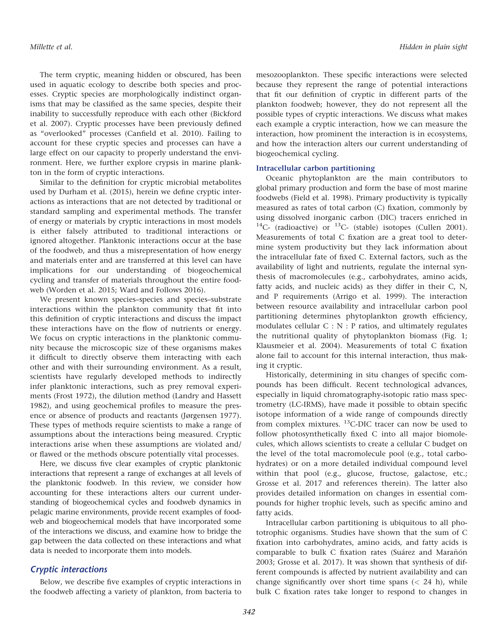The term cryptic, meaning hidden or obscured, has been used in aquatic ecology to describe both species and processes. Cryptic species are morphologically indistinct organisms that may be classified as the same species, despite their inability to successfully reproduce with each other (Bickford et al. 2007). Cryptic processes have been previously defined as "overlooked" processes (Canfield et al. 2010). Failing to account for these cryptic species and processes can have a large effect on our capacity to properly understand the environment. Here, we further explore crypsis in marine plankton in the form of cryptic interactions.

Similar to the definition for cryptic microbial metabolites used by Durham et al. (2015), herein we define cryptic interactions as interactions that are not detected by traditional or standard sampling and experimental methods. The transfer of energy or materials by cryptic interactions in most models is either falsely attributed to traditional interactions or ignored altogether. Planktonic interactions occur at the base of the foodweb, and thus a misrepresentation of how energy and materials enter and are transferred at this level can have implications for our understanding of biogeochemical cycling and transfer of materials throughout the entire foodweb (Worden et al. 2015; Ward and Follows 2016).

We present known species–species and species–substrate interactions within the plankton community that fit into this definition of cryptic interactions and discuss the impact these interactions have on the flow of nutrients or energy. We focus on cryptic interactions in the planktonic community because the microscopic size of these organisms makes it difficult to directly observe them interacting with each other and with their surrounding environment. As a result, scientists have regularly developed methods to indirectly infer planktonic interactions, such as prey removal experiments (Frost 1972), the dilution method (Landry and Hassett 1982), and using geochemical profiles to measure the presence or absence of products and reactants (Jørgensen 1977). These types of methods require scientists to make a range of assumptions about the interactions being measured. Cryptic interactions arise when these assumptions are violated and/ or flawed or the methods obscure potentially vital processes.

Here, we discuss five clear examples of cryptic planktonic interactions that represent a range of exchanges at all levels of the planktonic foodweb. In this review, we consider how accounting for these interactions alters our current understanding of biogeochemical cycles and foodweb dynamics in pelagic marine environments, provide recent examples of foodweb and biogeochemical models that have incorporated some of the interactions we discuss, and examine how to bridge the gap between the data collected on these interactions and what data is needed to incorporate them into models.

### Cryptic interactions

Below, we describe five examples of cryptic interactions in the foodweb affecting a variety of plankton, from bacteria to

mesozooplankton. These specific interactions were selected because they represent the range of potential interactions that fit our definition of cryptic in different parts of the plankton foodweb; however, they do not represent all the possible types of cryptic interactions. We discuss what makes each example a cryptic interaction, how we can measure the interaction, how prominent the interaction is in ecosystems, and how the interaction alters our current understanding of biogeochemical cycling.

### Intracellular carbon partitioning

Oceanic phytoplankton are the main contributors to global primary production and form the base of most marine foodwebs (Field et al. 1998). Primary productivity is typically measured as rates of total carbon (C) fixation, commonly by using dissolved inorganic carbon (DIC) tracers enriched in <sup>14</sup>C- (radioactive) or <sup>13</sup>C- (stable) isotopes (Cullen 2001). Measurements of total C fixation are a great tool to determine system productivity but they lack information about the intracellular fate of fixed C. External factors, such as the availability of light and nutrients, regulate the internal synthesis of macromolecules (e.g., carbohydrates, amino acids, fatty acids, and nucleic acids) as they differ in their C, N, and P requirements (Arrigo et al. 1999). The interaction between resource availability and intracellular carbon pool partitioning determines phytoplankton growth efficiency, modulates cellular C : N : P ratios, and ultimately regulates the nutritional quality of phytoplankton biomass (Fig. 1; Klausmeier et al. 2004). Measurements of total C fixation alone fail to account for this internal interaction, thus making it cryptic.

Historically, determining in situ changes of specific compounds has been difficult. Recent technological advances, especially in liquid chromatography-isotopic ratio mass spectrometry (LC-IRMS), have made it possible to obtain specific isotope information of a wide range of compounds directly from complex mixtures. 13C-DIC tracer can now be used to follow photosynthetically fixed C into all major biomolecules, which allows scientists to create a cellular C budget on the level of the total macromolecule pool (e.g., total carbohydrates) or on a more detailed individual compound level within that pool (e.g., glucose, fructose, galactose, etc.; Grosse et al. 2017 and references therein). The latter also provides detailed information on changes in essential compounds for higher trophic levels, such as specific amino and fatty acids.

Intracellular carbon partitioning is ubiquitous to all phototrophic organisms. Studies have shown that the sum of C fixation into carbohydrates, amino acids, and fatty acids is comparable to bulk C fixation rates (Suárez and Marañón 2003; Grosse et al. 2017). It was shown that synthesis of different compounds is affected by nutrient availability and can change significantly over short time spans  $(< 24$  h), while bulk C fixation rates take longer to respond to changes in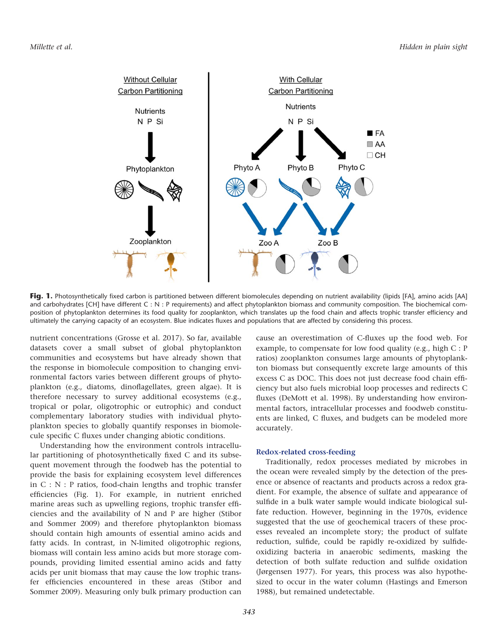

Fig. 1. Photosynthetically fixed carbon is partitioned between different biomolecules depending on nutrient availability (lipids [FA], amino acids [AA] and carbohydrates [CH] have different C : N : P requirements) and affect phytoplankton biomass and community composition. The biochemical composition of phytoplankton determines its food quality for zooplankton, which translates up the food chain and affects trophic transfer efficiency and ultimately the carrying capacity of an ecosystem. Blue indicates fluxes and populations that are affected by considering this process.

nutrient concentrations (Grosse et al. 2017). So far, available datasets cover a small subset of global phytoplankton communities and ecosystems but have already shown that the response in biomolecule composition to changing environmental factors varies between different groups of phytoplankton (e.g., diatoms, dinoflagellates, green algae). It is therefore necessary to survey additional ecosystems (e.g., tropical or polar, oligotrophic or eutrophic) and conduct complementary laboratory studies with individual phytoplankton species to globally quantify responses in biomolecule specific C fluxes under changing abiotic conditions.

Understanding how the environment controls intracellular partitioning of photosynthetically fixed C and its subsequent movement through the foodweb has the potential to provide the basis for explaining ecosystem level differences in C : N : P ratios, food-chain lengths and trophic transfer efficiencies (Fig. 1). For example, in nutrient enriched marine areas such as upwelling regions, trophic transfer efficiencies and the availability of N and P are higher (Stibor and Sommer 2009) and therefore phytoplankton biomass should contain high amounts of essential amino acids and fatty acids. In contrast, in N-limited oligotrophic regions, biomass will contain less amino acids but more storage compounds, providing limited essential amino acids and fatty acids per unit biomass that may cause the low trophic transfer efficiencies encountered in these areas (Stibor and Sommer 2009). Measuring only bulk primary production can

cause an overestimation of C-fluxes up the food web. For example, to compensate for low food quality (e.g., high C : P ratios) zooplankton consumes large amounts of phytoplankton biomass but consequently excrete large amounts of this excess C as DOC. This does not just decrease food chain efficiency but also fuels microbial loop processes and redirects C fluxes (DeMott et al. 1998). By understanding how environmental factors, intracellular processes and foodweb constituents are linked, C fluxes, and budgets can be modeled more accurately.

#### Redox-related cross-feeding

Traditionally, redox processes mediated by microbes in the ocean were revealed simply by the detection of the presence or absence of reactants and products across a redox gradient. For example, the absence of sulfate and appearance of sulfide in a bulk water sample would indicate biological sulfate reduction. However, beginning in the 1970s, evidence suggested that the use of geochemical tracers of these processes revealed an incomplete story; the product of sulfate reduction, sulfide, could be rapidly re-oxidized by sulfideoxidizing bacteria in anaerobic sediments, masking the detection of both sulfate reduction and sulfide oxidation (Jørgensen 1977). For years, this process was also hypothesized to occur in the water column (Hastings and Emerson 1988), but remained undetectable.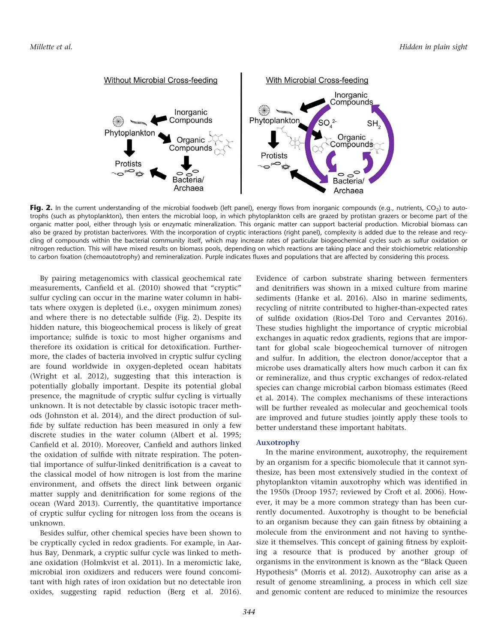

Fig. 2. In the current understanding of the microbial foodweb (left panel), energy flows from inorganic compounds (e.g., nutrients,  $CO<sub>2</sub>$ ) to autotrophs (such as phytoplankton), then enters the microbial loop, in which phytoplankton cells are grazed by protistan grazers or become part of the organic matter pool, either through lysis or enzymatic mineralization. This organic matter can support bacterial production. Microbial biomass can also be grazed by protistan bacterivores. With the incorporation of cryptic interactions (right panel), complexity is added due to the release and recycling of compounds within the bacterial community itself, which may increase rates of particular biogeochemical cycles such as sulfur oxidation or nitrogen reduction. This will have mixed results on biomass pools, depending on which reactions are taking place and their stoichiometric relationship to carbon fixation (chemoautotrophy) and remineralization. Purple indicates fluxes and populations that are affected by considering this process.

By pairing metagenomics with classical geochemical rate measurements, Canfield et al. (2010) showed that "cryptic" sulfur cycling can occur in the marine water column in habitats where oxygen is depleted (i.e., oxygen minimum zones) and where there is no detectable sulfide (Fig. 2). Despite its hidden nature, this biogeochemical process is likely of great importance; sulfide is toxic to most higher organisms and therefore its oxidation is critical for detoxification. Furthermore, the clades of bacteria involved in cryptic sulfur cycling are found worldwide in oxygen-depleted ocean habitats (Wright et al. 2012), suggesting that this interaction is potentially globally important. Despite its potential global presence, the magnitude of cryptic sulfur cycling is virtually unknown. It is not detectable by classic isotopic tracer methods (Johnston et al. 2014), and the direct production of sulfide by sulfate reduction has been measured in only a few discrete studies in the water column (Albert et al. 1995; Canfield et al. 2010). Moreover, Canfield and authors linked the oxidation of sulfide with nitrate respiration. The potential importance of sulfur-linked denitrification is a caveat to the classical model of how nitrogen is lost from the marine environment, and offsets the direct link between organic matter supply and denitrification for some regions of the ocean (Ward 2013). Currently, the quantitative importance of cryptic sulfur cycling for nitrogen loss from the oceans is unknown.

Besides sulfur, other chemical species have been shown to be cryptically cycled in redox gradients. For example, in Aarhus Bay, Denmark, a cryptic sulfur cycle was linked to methane oxidation (Holmkvist et al. 2011). In a meromictic lake, microbial iron oxidizers and reducers were found concomitant with high rates of iron oxidation but no detectable iron oxides, suggesting rapid reduction (Berg et al. 2016).

Evidence of carbon substrate sharing between fermenters and denitrifiers was shown in a mixed culture from marine sediments (Hanke et al. 2016). Also in marine sediments, recycling of nitrite contributed to higher-than-expected rates of sulfide oxidation (Rios-Del Toro and Cervantes 2016). These studies highlight the importance of cryptic microbial exchanges in aquatic redox gradients, regions that are important for global scale biogeochemical turnover of nitrogen and sulfur. In addition, the electron donor/acceptor that a microbe uses dramatically alters how much carbon it can fix or remineralize, and thus cryptic exchanges of redox-related species can change microbial carbon biomass estimates (Reed et al. 2014). The complex mechanisms of these interactions will be further revealed as molecular and geochemical tools are improved and future studies jointly apply these tools to better understand these important habitats.

#### Auxotrophy

In the marine environment, auxotrophy, the requirement by an organism for a specific biomolecule that it cannot synthesize, has been most extensively studied in the context of phytoplankton vitamin auxotrophy which was identified in the 1950s (Droop 1957; reviewed by Croft et al. 2006). However, it may be a more common strategy than has been currently documented. Auxotrophy is thought to be beneficial to an organism because they can gain fitness by obtaining a molecule from the environment and not having to synthesize it themselves. This concept of gaining fitness by exploiting a resource that is produced by another group of organisms in the environment is known as the "Black Queen Hypothesis" (Morris et al. 2012). Auxotrophy can arise as a result of genome streamlining, a process in which cell size and genomic content are reduced to minimize the resources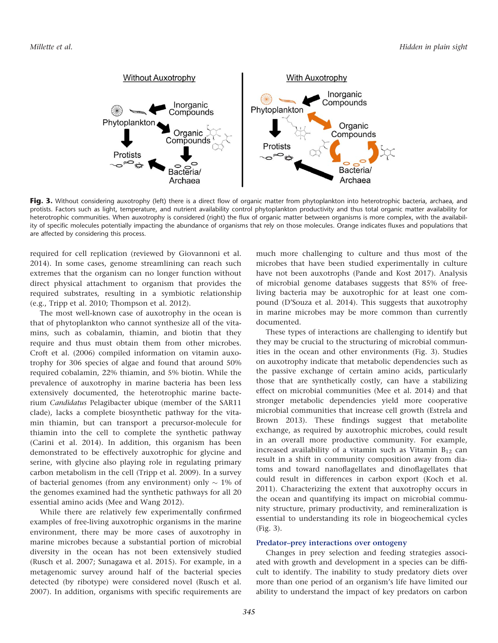

Fig. 3. Without considering auxotrophy (left) there is a direct flow of organic matter from phytoplankton into heterotrophic bacteria, archaea, and protists. Factors such as light, temperature, and nutrient availability control phytoplankton productivity and thus total organic matter availability for heterotrophic communities. When auxotrophy is considered (right) the flux of organic matter between organisms is more complex, with the availability of specific molecules potentially impacting the abundance of organisms that rely on those molecules. Orange indicates fluxes and populations that are affected by considering this process.

required for cell replication (reviewed by Giovannoni et al. 2014). In some cases, genome streamlining can reach such extremes that the organism can no longer function without direct physical attachment to organism that provides the required substrates, resulting in a symbiotic relationship (e.g., Tripp et al. 2010; Thompson et al. 2012).

The most well-known case of auxotrophy in the ocean is that of phytoplankton who cannot synthesize all of the vitamins, such as cobalamin, thiamin, and biotin that they require and thus must obtain them from other microbes. Croft et al. (2006) compiled information on vitamin auxotrophy for 306 species of algae and found that around 50% required cobalamin, 22% thiamin, and 5% biotin. While the prevalence of auxotrophy in marine bacteria has been less extensively documented, the heterotrophic marine bacterium Candidatus Pelagibacter ubique (member of the SAR11 clade), lacks a complete biosynthetic pathway for the vitamin thiamin, but can transport a precursor-molecule for thiamin into the cell to complete the synthetic pathway (Carini et al. 2014). In addition, this organism has been demonstrated to be effectively auxotrophic for glycine and serine, with glycine also playing role in regulating primary carbon metabolism in the cell (Tripp et al. 2009). In a survey of bacterial genomes (from any environment) only  $\sim 1\%$  of the genomes examined had the synthetic pathways for all 20 essential amino acids (Mee and Wang 2012).

While there are relatively few experimentally confirmed examples of free-living auxotrophic organisms in the marine environment, there may be more cases of auxotrophy in marine microbes because a substantial portion of microbial diversity in the ocean has not been extensively studied (Rusch et al. 2007; Sunagawa et al. 2015). For example, in a metagenomic survey around half of the bacterial species detected (by ribotype) were considered novel (Rusch et al. 2007). In addition, organisms with specific requirements are much more challenging to culture and thus most of the microbes that have been studied experimentally in culture have not been auxotrophs (Pande and Kost 2017). Analysis of microbial genome databases suggests that 85% of freeliving bacteria may be auxotrophic for at least one compound (D'Souza et al. 2014). This suggests that auxotrophy in marine microbes may be more common than currently documented.

These types of interactions are challenging to identify but they may be crucial to the structuring of microbial communities in the ocean and other environments (Fig. 3). Studies on auxotrophy indicate that metabolic dependencies such as the passive exchange of certain amino acids, particularly those that are synthetically costly, can have a stabilizing effect on microbial communities (Mee et al. 2014) and that stronger metabolic dependencies yield more cooperative microbial communities that increase cell growth (Estrela and Brown 2013). These findings suggest that metabolite exchange, as required by auxotrophic microbes, could result in an overall more productive community. For example, increased availability of a vitamin such as Vitamin  $B_{12}$  can result in a shift in community composition away from diatoms and toward nanoflagellates and dinoflagellates that could result in differences in carbon export (Koch et al. 2011). Characterizing the extent that auxotrophy occurs in the ocean and quantifying its impact on microbial community structure, primary productivity, and remineralization is essential to understanding its role in biogeochemical cycles (Fig. 3).

#### Predator–prey interactions over ontogeny

Changes in prey selection and feeding strategies associated with growth and development in a species can be difficult to identify. The inability to study predatory diets over more than one period of an organism's life have limited our ability to understand the impact of key predators on carbon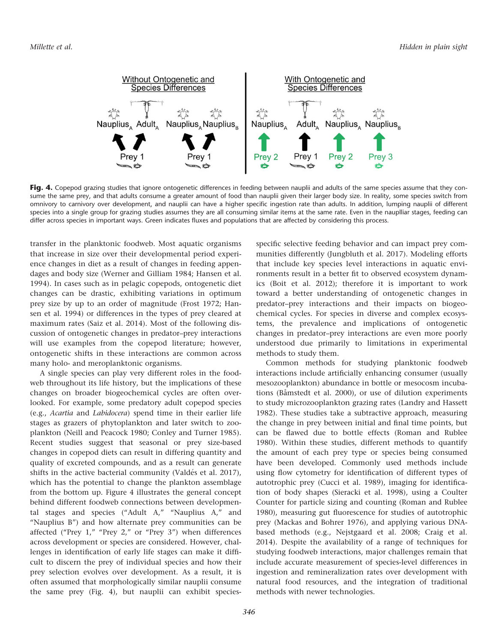

Fig. 4. Copepod grazing studies that ignore ontogenetic differences in feeding between nauplii and adults of the same species assume that they consume the same prey, and that adults consume a greater amount of food than nauplii given their larger body size. In reality, some species switch from omnivory to carnivory over development, and nauplii can have a higher specific ingestion rate than adults. In addition, lumping nauplii of different species into a single group for grazing studies assumes they are all consuming similar items at the same rate. Even in the nauplliar stages, feeding can differ across species in important ways. Green indicates fluxes and populations that are affected by considering this process.

transfer in the planktonic foodweb. Most aquatic organisms that increase in size over their developmental period experience changes in diet as a result of changes in feeding appendages and body size (Werner and Gilliam 1984; Hansen et al. 1994). In cases such as in pelagic copepods, ontogenetic diet changes can be drastic, exhibiting variations in optimum prey size by up to an order of magnitude (Frost 1972; Hansen et al. 1994) or differences in the types of prey cleared at maximum rates (Saiz et al. 2014). Most of the following discussion of ontogenetic changes in predator–prey interactions will use examples from the copepod literature; however, ontogenetic shifts in these interactions are common across many holo- and meroplanktonic organisms.

A single species can play very different roles in the foodweb throughout its life history, but the implications of these changes on broader biogeochemical cycles are often overlooked. For example, some predatory adult copepod species (e.g., Acartia and Labidocera) spend time in their earlier life stages as grazers of phytoplankton and later switch to zooplankton (Neill and Peacock 1980; Conley and Turner 1985). Recent studies suggest that seasonal or prey size-based changes in copepod diets can result in differing quantity and quality of excreted compounds, and as a result can generate shifts in the active bacterial community (Valdés et al. 2017), which has the potential to change the plankton assemblage from the bottom up. Figure 4 illustrates the general concept behind different foodweb connections between developmental stages and species ("Adult A," "Nauplius A," and "Nauplius B") and how alternate prey communities can be affected ("Prey 1," "Prey 2," or "Prey 3") when differences across development or species are considered. However, challenges in identification of early life stages can make it difficult to discern the prey of individual species and how their prey selection evolves over development. As a result, it is often assumed that morphologically similar nauplii consume the same prey (Fig. 4), but nauplii can exhibit species-

specific selective feeding behavior and can impact prey communities differently (Jungbluth et al. 2017). Modeling efforts that include key species level interactions in aquatic environments result in a better fit to observed ecosystem dynamics (Boit et al. 2012); therefore it is important to work toward a better understanding of ontogenetic changes in predator–prey interactions and their impacts on biogeochemical cycles. For species in diverse and complex ecosystems, the prevalence and implications of ontogenetic changes in predator–prey interactions are even more poorly understood due primarily to limitations in experimental methods to study them.

Common methods for studying planktonic foodweb interactions include artificially enhancing consumer (usually mesozooplankton) abundance in bottle or mesocosm incubations (Båmstedt et al. 2000), or use of dilution experiments to study microzooplankton grazing rates (Landry and Hassett 1982). These studies take a subtractive approach, measuring the change in prey between initial and final time points, but can be flawed due to bottle effects (Roman and Rublee 1980). Within these studies, different methods to quantify the amount of each prey type or species being consumed have been developed. Commonly used methods include using flow cytometry for identification of different types of autotrophic prey (Cucci et al. 1989), imaging for identification of body shapes (Sieracki et al. 1998), using a Coulter Counter for particle sizing and counting (Roman and Rublee 1980), measuring gut fluorescence for studies of autotrophic prey (Mackas and Bohrer 1976), and applying various DNAbased methods (e.g., Nejstgaard et al. 2008; Craig et al. 2014). Despite the availability of a range of techniques for studying foodweb interactions, major challenges remain that include accurate measurement of species-level differences in ingestion and remineralization rates over development with natural food resources, and the integration of traditional methods with newer technologies.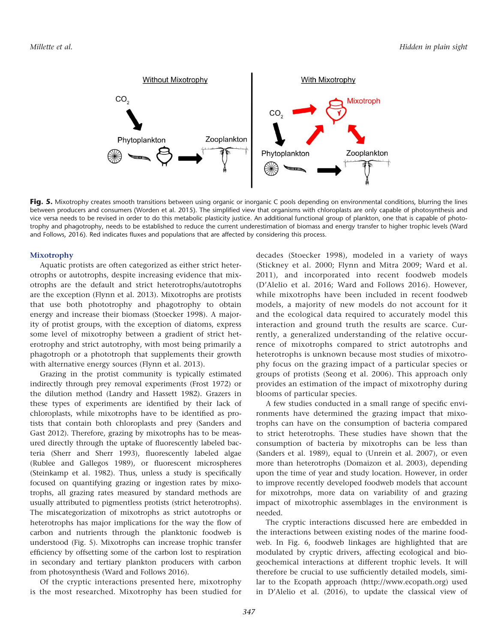

Fig. 5. Mixotrophy creates smooth transitions between using organic or inorganic C pools depending on environmental conditions, blurring the lines between producers and consumers (Worden et al. 2015). The simplified view that organisms with chloroplasts are only capable of photosynthesis and vice versa needs to be revised in order to do this metabolic plasticity justice. An additional functional group of plankton, one that is capable of phototrophy and phagotrophy, needs to be established to reduce the current underestimation of biomass and energy transfer to higher trophic levels (Ward and Follows, 2016). Red indicates fluxes and populations that are affected by considering this process.

#### Mixotrophy

Aquatic protists are often categorized as either strict heterotrophs or autotrophs, despite increasing evidence that mixotrophs are the default and strict heterotrophs/autotrophs are the exception (Flynn et al. 2013). Mixotrophs are protists that use both phototrophy and phagotrophy to obtain energy and increase their biomass (Stoecker 1998). A majority of protist groups, with the exception of diatoms, express some level of mixotrophy between a gradient of strict heterotrophy and strict autotrophy, with most being primarily a phagotroph or a phototroph that supplements their growth with alternative energy sources (Flynn et al. 2013).

Grazing in the protist community is typically estimated indirectly through prey removal experiments (Frost 1972) or the dilution method (Landry and Hassett 1982). Grazers in these types of experiments are identified by their lack of chloroplasts, while mixotrophs have to be identified as protists that contain both chloroplasts and prey (Sanders and Gast 2012). Therefore, grazing by mixotrophs has to be measured directly through the uptake of fluorescently labeled bacteria (Sherr and Sherr 1993), fluorescently labeled algae (Rublee and Gallegos 1989), or fluorescent microspheres (Steinkamp et al. 1982). Thus, unless a study is specifically focused on quantifying grazing or ingestion rates by mixotrophs, all grazing rates measured by standard methods are usually attributed to pigmentless protists (strict heterotrophs). The miscategorization of mixotrophs as strict autotrophs or heterotrophs has major implications for the way the flow of carbon and nutrients through the planktonic foodweb is understood (Fig. 5). Mixotrophs can increase trophic transfer efficiency by offsetting some of the carbon lost to respiration in secondary and tertiary plankton producers with carbon from photosynthesis (Ward and Follows 2016).

Of the cryptic interactions presented here, mixotrophy is the most researched. Mixotrophy has been studied for decades (Stoecker 1998), modeled in a variety of ways (Stickney et al. 2000; Flynn and Mitra 2009; Ward et al. 2011), and incorporated into recent foodweb models (D'Alelio et al. 2016; Ward and Follows 2016). However, while mixotrophs have been included in recent foodweb models, a majority of new models do not account for it and the ecological data required to accurately model this interaction and ground truth the results are scarce. Currently, a generalized understanding of the relative occurrence of mixotrophs compared to strict autotrophs and heterotrophs is unknown because most studies of mixotrophy focus on the grazing impact of a particular species or groups of protists (Seong et al. 2006). This approach only provides an estimation of the impact of mixotrophy during blooms of particular species.

A few studies conducted in a small range of specific environments have determined the grazing impact that mixotrophs can have on the consumption of bacteria compared to strict heterotrophs. These studies have shown that the consumption of bacteria by mixotrophs can be less than (Sanders et al. 1989), equal to (Unrein et al. 2007), or even more than heterotrophs (Domaizon et al. 2003), depending upon the time of year and study location. However, in order to improve recently developed foodweb models that account for mixotrohps, more data on variability of and grazing impact of mixotrophic assemblages in the environment is needed.

The cryptic interactions discussed here are embedded in the interactions between existing nodes of the marine foodweb. In Fig. 6, foodweb linkages are highlighted that are modulated by cryptic drivers, affecting ecological and biogeochemical interactions at different trophic levels. It will therefore be crucial to use sufficiently detailed models, similar to the Ecopath approach (http://www.ecopath.org) used in D'Alelio et al. (2016), to update the classical view of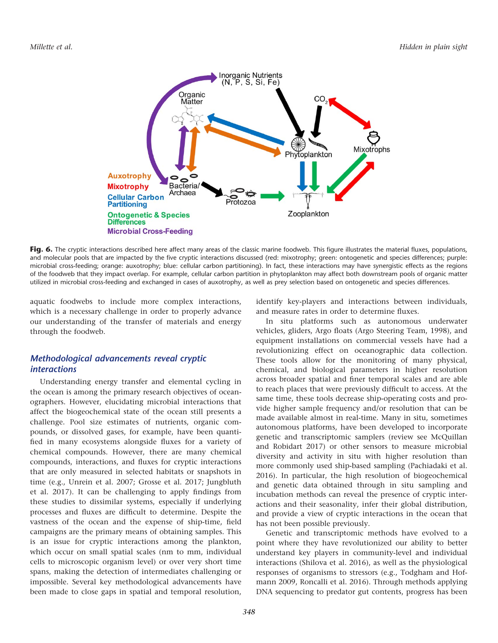

Fig. 6. The cryptic interactions described here affect many areas of the classic marine foodweb. This figure illustrates the material fluxes, populations, and molecular pools that are impacted by the five cryptic interactions discussed (red: mixotrophy; green: ontogenetic and species differences; purple: microbial cross-feeding; orange: auxotrophy; blue: cellular carbon partitioning). In fact, these interactions may have synergistic effects as the regions of the foodweb that they impact overlap. For example, cellular carbon partition in phytoplankton may affect both downstream pools of organic matter utilized in microbial cross-feeding and exchanged in cases of auxotrophy, as well as prey selection based on ontogenetic and species differences.

aquatic foodwebs to include more complex interactions, which is a necessary challenge in order to properly advance our understanding of the transfer of materials and energy through the foodweb.

# Methodological advancements reveal cryptic interactions

Understanding energy transfer and elemental cycling in the ocean is among the primary research objectives of oceanographers. However, elucidating microbial interactions that affect the biogeochemical state of the ocean still presents a challenge. Pool size estimates of nutrients, organic compounds, or dissolved gases, for example, have been quantified in many ecosystems alongside fluxes for a variety of chemical compounds. However, there are many chemical compounds, interactions, and fluxes for cryptic interactions that are only measured in selected habitats or snapshots in time (e.g., Unrein et al. 2007; Grosse et al. 2017; Jungbluth et al. 2017). It can be challenging to apply findings from these studies to dissimilar systems, especially if underlying processes and fluxes are difficult to determine. Despite the vastness of the ocean and the expense of ship-time, field campaigns are the primary means of obtaining samples. This is an issue for cryptic interactions among the plankton, which occur on small spatial scales (nm to mm, individual cells to microscopic organism level) or over very short time spans, making the detection of intermediates challenging or impossible. Several key methodological advancements have been made to close gaps in spatial and temporal resolution,

identify key-players and interactions between individuals, and measure rates in order to determine fluxes.

In situ platforms such as autonomous underwater vehicles, gliders, Argo floats (Argo Steering Team, 1998), and equipment installations on commercial vessels have had a revolutionizing effect on oceanographic data collection. These tools allow for the monitoring of many physical, chemical, and biological parameters in higher resolution across broader spatial and finer temporal scales and are able to reach places that were previously difficult to access. At the same time, these tools decrease ship-operating costs and provide higher sample frequency and/or resolution that can be made available almost in real-time. Many in situ, sometimes autonomous platforms, have been developed to incorporate genetic and transcriptomic samplers (review see McQuillan and Robidart 2017) or other sensors to measure microbial diversity and activity in situ with higher resolution than more commonly used ship-based sampling (Pachiadaki et al. 2016). In particular, the high resolution of biogeochemical and genetic data obtained through in situ sampling and incubation methods can reveal the presence of cryptic interactions and their seasonality, infer their global distribution, and provide a view of cryptic interactions in the ocean that has not been possible previously.

Genetic and transcriptomic methods have evolved to a point where they have revolutionized our ability to better understand key players in community-level and individual interactions (Shilova et al. 2016), as well as the physiological responses of organisms to stressors (e.g., Todgham and Hofmann 2009, Roncalli et al. 2016). Through methods applying DNA sequencing to predator gut contents, progress has been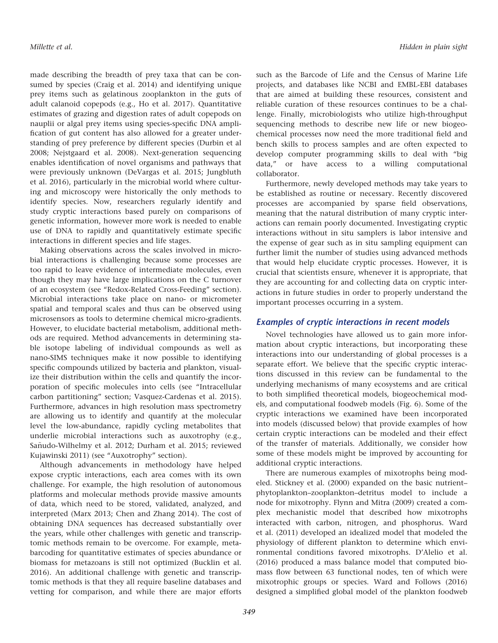made describing the breadth of prey taxa that can be consumed by species (Craig et al. 2014) and identifying unique prey items such as gelatinous zooplankton in the guts of adult calanoid copepods (e.g., Ho et al. 2017). Quantitative estimates of grazing and digestion rates of adult copepods on nauplii or algal prey items using species-specific DNA amplification of gut content has also allowed for a greater understanding of prey preference by different species (Durbin et al 2008; Nejstgaard et al. 2008). Next-generation sequencing enables identification of novel organisms and pathways that were previously unknown (DeVargas et al. 2015; Jungbluth et al. 2016), particularly in the microbial world where culturing and microscopy were historically the only methods to identify species. Now, researchers regularly identify and study cryptic interactions based purely on comparisons of genetic information, however more work is needed to enable use of DNA to rapidly and quantitatively estimate specific interactions in different species and life stages.

Making observations across the scales involved in microbial interactions is challenging because some processes are too rapid to leave evidence of intermediate molecules, even though they may have large implications on the C turnover of an ecosystem (see "Redox-Related Cross-Feeding" section). Microbial interactions take place on nano- or micrometer spatial and temporal scales and thus can be observed using microsensors as tools to determine chemical micro-gradients. However, to elucidate bacterial metabolism, additional methods are required. Method advancements in determining stable isotope labeling of individual compounds as well as nano-SIMS techniques make it now possible to identifying specific compounds utilized by bacteria and plankton, visualize their distribution within the cells and quantify the incorporation of specific molecules into cells (see "Intracellular carbon partitioning" section; Vasquez-Cardenas et al. 2015). Furthermore, advances in high resolution mass spectrometry are allowing us to identify and quantify at the molecular level the low-abundance, rapidly cycling metabolites that underlie microbial interactions such as auxotrophy (e.g., Sañudo-Wilhelmy et al. 2012; Durham et al. 2015; reviewed Kujawinski 2011) (see "Auxotrophy" section).

Although advancements in methodology have helped expose cryptic interactions, each area comes with its own challenge. For example, the high resolution of autonomous platforms and molecular methods provide massive amounts of data, which need to be stored, validated, analyzed, and interpreted (Marx 2013; Chen and Zhang 2014). The cost of obtaining DNA sequences has decreased substantially over the years, while other challenges with genetic and transcriptomic methods remain to be overcome. For example, metabarcoding for quantitative estimates of species abundance or biomass for metazoans is still not optimized (Bucklin et al. 2016). An additional challenge with genetic and transcriptomic methods is that they all require baseline databases and vetting for comparison, and while there are major efforts

such as the Barcode of Life and the Census of Marine Life projects, and databases like NCBI and EMBL-EBI databases that are aimed at building these resources, consistent and reliable curation of these resources continues to be a challenge. Finally, microbiologists who utilize high-throughput sequencing methods to describe new life or new biogeochemical processes now need the more traditional field and bench skills to process samples and are often expected to develop computer programming skills to deal with "big data," or have access to a willing computational collaborator.

Furthermore, newly developed methods may take years to be established as routine or necessary. Recently discovered processes are accompanied by sparse field observations, meaning that the natural distribution of many cryptic interactions can remain poorly documented. Investigating cryptic interactions without in situ samplers is labor intensive and the expense of gear such as in situ sampling equipment can further limit the number of studies using advanced methods that would help elucidate cryptic processes. However, it is crucial that scientists ensure, whenever it is appropriate, that they are accounting for and collecting data on cryptic interactions in future studies in order to properly understand the important processes occurring in a system.

## Examples of cryptic interactions in recent models

Novel technologies have allowed us to gain more information about cryptic interactions, but incorporating these interactions into our understanding of global processes is a separate effort. We believe that the specific cryptic interactions discussed in this review can be fundamental to the underlying mechanisms of many ecosystems and are critical to both simplified theoretical models, biogeochemical models, and computational foodweb models (Fig. 6). Some of the cryptic interactions we examined have been incorporated into models (discussed below) that provide examples of how certain cryptic interactions can be modeled and their effect of the transfer of materials. Additionally, we consider how some of these models might be improved by accounting for additional cryptic interactions.

There are numerous examples of mixotrophs being modeled. Stickney et al. (2000) expanded on the basic nutrient– phytoplankton–zooplankton–detritus model to include a node for mixotrophy. Flynn and Mitra (2009) created a complex mechanistic model that described how mixotrophs interacted with carbon, nitrogen, and phosphorus. Ward et al. (2011) developed an idealized model that modeled the physiology of different plankton to determine which environmental conditions favored mixotrophs. D'Alelio et al. (2016) produced a mass balance model that computed biomass flow between 63 functional nodes, ten of which were mixotrophic groups or species. Ward and Follows (2016) designed a simplified global model of the plankton foodweb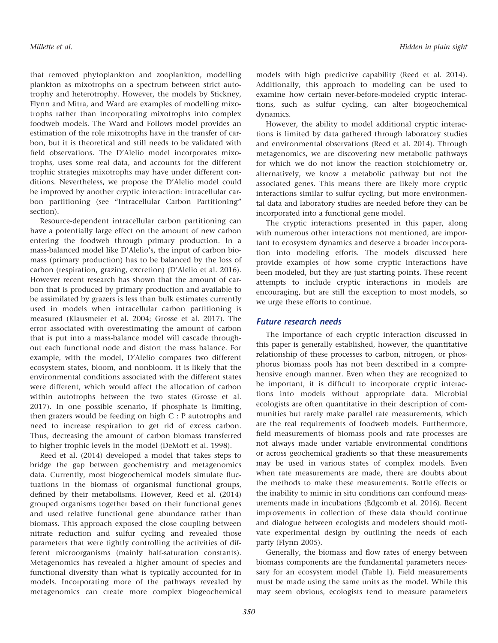that removed phytoplankton and zooplankton, modelling plankton as mixotrophs on a spectrum between strict autotrophy and heterotrophy. However, the models by Stickney, Flynn and Mitra, and Ward are examples of modelling mixotrophs rather than incorporating mixotrophs into complex foodweb models. The Ward and Follows model provides an estimation of the role mixotrophs have in the transfer of carbon, but it is theoretical and still needs to be validated with field observations. The D'Alelio model incorporates mixotrophs, uses some real data, and accounts for the different trophic strategies mixotrophs may have under different conditions. Nevertheless, we propose the D'Alelio model could be improved by another cryptic interaction: intracellular carbon partitioning (see "Intracellular Carbon Partitioning" section).

Resource-dependent intracellular carbon partitioning can have a potentially large effect on the amount of new carbon entering the foodweb through primary production. In a mass-balanced model like D'Alelio's, the input of carbon biomass (primary production) has to be balanced by the loss of carbon (respiration, grazing, excretion) (D'Alelio et al. 2016). However recent research has shown that the amount of carbon that is produced by primary production and available to be assimilated by grazers is less than bulk estimates currently used in models when intracellular carbon partitioning is measured (Klausmeier et al. 2004; Grosse et al. 2017). The error associated with overestimating the amount of carbon that is put into a mass-balance model will cascade throughout each functional node and distort the mass balance. For example, with the model, D'Alelio compares two different ecosystem states, bloom, and nonbloom. It is likely that the environmental conditions associated with the different states were different, which would affect the allocation of carbon within autotrophs between the two states (Grosse et al. 2017). In one possible scenario, if phosphate is limiting, then grazers would be feeding on high C : P autotrophs and need to increase respiration to get rid of excess carbon. Thus, decreasing the amount of carbon biomass transferred to higher trophic levels in the model (DeMott et al. 1998).

Reed et al. (2014) developed a model that takes steps to bridge the gap between geochemistry and metagenomics data. Currently, most biogeochemical models simulate fluctuations in the biomass of organismal functional groups, defined by their metabolisms. However, Reed et al. (2014) grouped organisms together based on their functional genes and used relative functional gene abundance rather than biomass. This approach exposed the close coupling between nitrate reduction and sulfur cycling and revealed those parameters that were tightly controlling the activities of different microorganisms (mainly half-saturation constants). Metagenomics has revealed a higher amount of species and functional diversity than what is typically accounted for in models. Incorporating more of the pathways revealed by metagenomics can create more complex biogeochemical

models with high predictive capability (Reed et al. 2014). Additionally, this approach to modeling can be used to examine how certain never-before-modeled cryptic interactions, such as sulfur cycling, can alter biogeochemical dynamics.

However, the ability to model additional cryptic interactions is limited by data gathered through laboratory studies and environmental observations (Reed et al. 2014). Through metagenomics, we are discovering new metabolic pathways for which we do not know the reaction stoichiometry or, alternatively, we know a metabolic pathway but not the associated genes. This means there are likely more cryptic interactions similar to sulfur cycling, but more environmental data and laboratory studies are needed before they can be incorporated into a functional gene model.

The cryptic interactions presented in this paper, along with numerous other interactions not mentioned, are important to ecosystem dynamics and deserve a broader incorporation into modeling efforts. The models discussed here provide examples of how some cryptic interactions have been modeled, but they are just starting points. These recent attempts to include cryptic interactions in models are encouraging, but are still the exception to most models, so we urge these efforts to continue.

#### Future research needs

The importance of each cryptic interaction discussed in this paper is generally established, however, the quantitative relationship of these processes to carbon, nitrogen, or phosphorus biomass pools has not been described in a comprehensive enough manner. Even when they are recognized to be important, it is difficult to incorporate cryptic interactions into models without appropriate data. Microbial ecologists are often quantitative in their description of communities but rarely make parallel rate measurements, which are the real requirements of foodweb models. Furthermore, field measurements of biomass pools and rate processes are not always made under variable environmental conditions or across geochemical gradients so that these measurements may be used in various states of complex models. Even when rate measurements are made, there are doubts about the methods to make these measurements. Bottle effects or the inability to mimic in situ conditions can confound measurements made in incubations (Edgcomb et al. 2016). Recent improvements in collection of these data should continue and dialogue between ecologists and modelers should motivate experimental design by outlining the needs of each party (Flynn 2005).

Generally, the biomass and flow rates of energy between biomass components are the fundamental parameters necessary for an ecosystem model (Table 1). Field measurements must be made using the same units as the model. While this may seem obvious, ecologists tend to measure parameters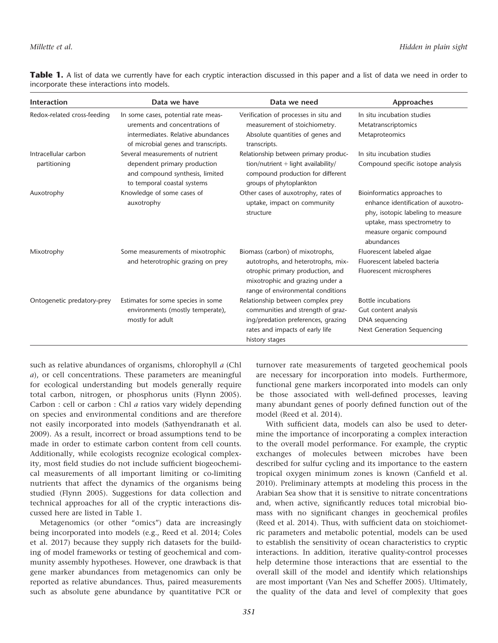Table 1. A list of data we currently have for each cryptic interaction discussed in this paper and a list of data we need in order to incorporate these interactions into models.

| <b>Interaction</b>                   | Data we have                                                                                                                                       | Data we need                                                                                                                                                                      | Approaches                                                                                                                                                                        |
|--------------------------------------|----------------------------------------------------------------------------------------------------------------------------------------------------|-----------------------------------------------------------------------------------------------------------------------------------------------------------------------------------|-----------------------------------------------------------------------------------------------------------------------------------------------------------------------------------|
| Redox-related cross-feeding          | In some cases, potential rate meas-<br>urements and concentrations of<br>intermediates. Relative abundances<br>of microbial genes and transcripts. | Verification of processes in situ and<br>measurement of stoichiometry.<br>Absolute quantities of genes and<br>transcripts.                                                        | In situ incubation studies<br>Metatranscriptomics<br>Metaproteomics                                                                                                               |
| Intracellular carbon<br>partitioning | Several measurements of nutrient<br>dependent primary production<br>and compound synthesis, limited<br>to temporal coastal systems                 | Relationship between primary produc-<br>$tion/nutrient + light availability/$<br>compound production for different<br>groups of phytoplankton                                     | In situ incubation studies<br>Compound specific isotope analysis                                                                                                                  |
| Auxotrophy                           | Knowledge of some cases of<br>auxotrophy                                                                                                           | Other cases of auxotrophy, rates of<br>uptake, impact on community<br>structure                                                                                                   | Bioinformatics approaches to<br>enhance identification of auxotro-<br>phy, isotopic labeling to measure<br>uptake, mass spectrometry to<br>measure organic compound<br>abundances |
| Mixotrophy                           | Some measurements of mixotrophic<br>and heterotrophic grazing on prey                                                                              | Biomass (carbon) of mixotrophs,<br>autotrophs, and heterotrophs, mix-<br>otrophic primary production, and<br>mixotrophic and grazing under a<br>range of environmental conditions | Fluorescent labeled algae<br>Fluorescent labeled bacteria<br>Fluorescent microspheres                                                                                             |
| Ontogenetic predatory-prey           | Estimates for some species in some<br>environments (mostly temperate),<br>mostly for adult                                                         | Relationship between complex prey<br>communities and strength of graz-<br>ing/predation preferences, grazing<br>rates and impacts of early life<br>history stages                 | <b>Bottle incubations</b><br>Gut content analysis<br>DNA sequencing<br>Next Generation Sequencing                                                                                 |

such as relative abundances of organisms, chlorophyll a (Chl a), or cell concentrations. These parameters are meaningful for ecological understanding but models generally require total carbon, nitrogen, or phosphorus units (Flynn 2005). Carbon : cell or carbon : Chl a ratios vary widely depending on species and environmental conditions and are therefore not easily incorporated into models (Sathyendranath et al. 2009). As a result, incorrect or broad assumptions tend to be made in order to estimate carbon content from cell counts. Additionally, while ecologists recognize ecological complexity, most field studies do not include sufficient biogeochemical measurements of all important limiting or co-limiting nutrients that affect the dynamics of the organisms being studied (Flynn 2005). Suggestions for data collection and technical approaches for all of the cryptic interactions discussed here are listed in Table 1.

Metagenomics (or other "omics") data are increasingly being incorporated into models (e.g., Reed et al. 2014; Coles et al. 2017) because they supply rich datasets for the building of model frameworks or testing of geochemical and community assembly hypotheses. However, one drawback is that gene marker abundances from metagenomics can only be reported as relative abundances. Thus, paired measurements such as absolute gene abundance by quantitative PCR or turnover rate measurements of targeted geochemical pools are necessary for incorporation into models. Furthermore, functional gene markers incorporated into models can only be those associated with well-defined processes, leaving many abundant genes of poorly defined function out of the model (Reed et al. 2014).

With sufficient data, models can also be used to determine the importance of incorporating a complex interaction to the overall model performance. For example, the cryptic exchanges of molecules between microbes have been described for sulfur cycling and its importance to the eastern tropical oxygen minimum zones is known (Canfield et al. 2010). Preliminary attempts at modeling this process in the Arabian Sea show that it is sensitive to nitrate concentrations and, when active, significantly reduces total microbial biomass with no significant changes in geochemical profiles (Reed et al. 2014). Thus, with sufficient data on stoichiometric parameters and metabolic potential, models can be used to establish the sensitivity of ocean characteristics to cryptic interactions. In addition, iterative quality-control processes help determine those interactions that are essential to the overall skill of the model and identify which relationships are most important (Van Nes and Scheffer 2005). Ultimately, the quality of the data and level of complexity that goes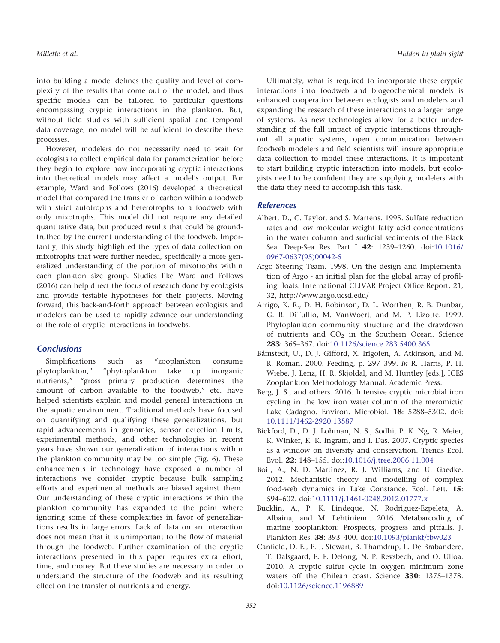into building a model defines the quality and level of complexity of the results that come out of the model, and thus specific models can be tailored to particular questions encompassing cryptic interactions in the plankton. But, without field studies with sufficient spatial and temporal data coverage, no model will be sufficient to describe these processes.

However, modelers do not necessarily need to wait for ecologists to collect empirical data for parameterization before they begin to explore how incorporating cryptic interactions into theoretical models may affect a model's output. For example, Ward and Follows (2016) developed a theoretical model that compared the transfer of carbon within a foodweb with strict autotrophs and heterotrophs to a foodweb with only mixotrophs. This model did not require any detailed quantitative data, but produced results that could be groundtruthed by the current understanding of the foodweb. Importantly, this study highlighted the types of data collection on mixotrophs that were further needed, specifically a more generalized understanding of the portion of mixotrophs within each plankton size group. Studies like Ward and Follows (2016) can help direct the focus of research done by ecologists and provide testable hypotheses for their projects. Moving forward, this back-and-forth approach between ecologists and modelers can be used to rapidly advance our understanding of the role of cryptic interactions in foodwebs.

# **Conclusions**

Simplifications such as "zooplankton consume phytoplankton," "phytoplankton take up inorganic nutrients," "gross primary production determines the amount of carbon available to the foodweb," etc. have helped scientists explain and model general interactions in the aquatic environment. Traditional methods have focused on quantifying and qualifying these generalizations, but rapid advancements in genomics, sensor detection limits, experimental methods, and other technologies in recent years have shown our generalization of interactions within the plankton community may be too simple (Fig. 6). These enhancements in technology have exposed a number of interactions we consider cryptic because bulk sampling efforts and experimental methods are biased against them. Our understanding of these cryptic interactions within the plankton community has expanded to the point where ignoring some of these complexities in favor of generalizations results in large errors. Lack of data on an interaction does not mean that it is unimportant to the flow of material through the foodweb. Further examination of the cryptic interactions presented in this paper requires extra effort, time, and money. But these studies are necessary in order to understand the structure of the foodweb and its resulting effect on the transfer of nutrients and energy.

Ultimately, what is required to incorporate these cryptic interactions into foodweb and biogeochemical models is enhanced cooperation between ecologists and modelers and expanding the research of these interactions to a larger range of systems. As new technologies allow for a better understanding of the full impact of cryptic interactions throughout all aquatic systems, open communication between foodweb modelers and field scientists will insure appropriate data collection to model these interactions. It is important to start building cryptic interaction into models, but ecologists need to be confident they are supplying modelers with the data they need to accomplish this task.

### References

- Albert, D., C. Taylor, and S. Martens. 1995. Sulfate reduction rates and low molecular weight fatty acid concentrations in the water column and surficial sediments of the Black Sea. Deep-Sea Res. Part I 42: 1239–1260. doi[:10.1016/](http://dx.doi.org/10.1016/0967-0637(95)00042-5) [0967-0637\(95\)00042-5](http://dx.doi.org/10.1016/0967-0637(95)00042-5)
- Argo Steering Team. 1998. On the design and Implementation of Argo - an initial plan for the global array of profiling floats. International CLIVAR Project Office Report, 21, 32,<http://www.argo.ucsd.edu/>
- Arrigo, K. R., D. H. Robinson, D. L. Worthen, R. B. Dunbar, G. R. DiTullio, M. VanWoert, and M. P. Lizotte. 1999. Phytoplankton community structure and the drawdown of nutrients and  $CO<sub>2</sub>$  in the Southern Ocean. Science 283: 365–367. doi:[10.1126/science.283.5400.365](http://dx.doi.org/10.1126/science.283.5400.365).
- Båmstedt, U., D. J. Gifford, X. Irigoien, A. Atkinson, and M. R. Roman. 2000. Feeding, p. 297–399. In R. Harris, P. H. Wiebe, J. Lenz, H. R. Skjoldal, and M. Huntley [eds.], ICES Zooplankton Methodology Manual. Academic Press.
- Berg, J. S., and others. 2016. Intensive cryptic microbial iron cycling in the low iron water column of the meromictic Lake Cadagno. Environ. Microbiol. 18: 5288–5302. doi: [10.1111/1462-2920.13587](http://dx.doi.org/10.1111/1462-2920.13587)
- Bickford, D., D. J. Lohman, N. S., Sodhi, P. K. Ng, R. Meier, K. Winker, K. K. Ingram, and I. Das. 2007. Cryptic species as a window on diversity and conservation. Trends Ecol. Evol. 22: 148–155. doi:[10.1016/j.tree.2006.11.004](http://dx.doi.org/10.1016/j.tree.2006.11.004)
- Boit, A., N. D. Martinez, R. J. Williams, and U. Gaedke. 2012. Mechanistic theory and modelling of complex food-web dynamics in Lake Constance. Ecol. Lett. 15: 594–602. doi[:10.1111/j.1461-0248.2012.01777.x](http://dx.doi.org/10.1111/j.1461-0248.2012.01777.x)
- Bucklin, A., P. K. Lindeque, N. Rodriguez-Ezpeleta, A. Albaina, and M. Lehtiniemi. 2016. Metabarcoding of marine zooplankton: Prospects, progress and pitfalls. J. Plankton Res. 38: 393–400. doi:[10.1093/plankt/fbw023](http://dx.doi.org/10.1093/plankt/fbw023)
- Canfield, D. E., F. J. Stewart, B. Thamdrup, L. De Brabandere, T. Dalsgaard, E. F. Delong, N. P. Revsbech, and O. Ulloa. 2010. A cryptic sulfur cycle in oxygen minimum zone waters off the Chilean coast. Science 330: 1375–1378. doi[:10.1126/science.1196889](http://dx.doi.org/10.1126/science.1196889)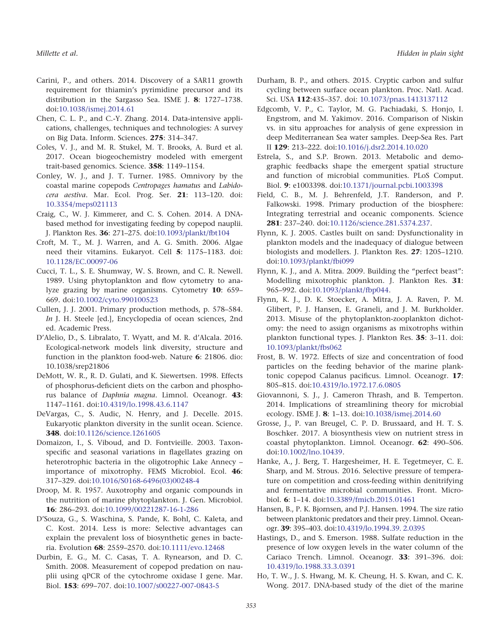- Carini, P., and others. 2014. Discovery of a SAR11 growth requirement for thiamin's pyrimidine precursor and its distribution in the Sargasso Sea. ISME J. 8: 1727–1738. doi[:10.1038/ismej.2014.61](http://dx.doi.org/10.1038/ismej.2014.61)
- Chen, C. L. P., and C.-Y. Zhang. 2014. Data-intensive applications, challenges, techniques and technologies: A survey on Big Data. Inform. Sciences. 275: 314–347.
- Coles, V. J., and M. R. Stukel, M. T. Brooks, A. Burd et al. 2017. Ocean biogeochemistry modeled with emergent trait-based genomics. Science. 358: 1149–1154.
- Conley, W. J., and J. T. Turner. 1985. Omnivory by the coastal marine copepods Centropages hamatus and Labidocera aestiva. Mar. Ecol. Prog. Ser. 21: 113–120. doi: [10.3354/meps021113](http://dx.doi.org/10.3354/meps021113)
- Craig, C., W. J. Kimmerer, and C. S. Cohen. 2014. A DNAbased method for investigating feeding by copepod nauplii. J. Plankton Res. 36: 271–275. doi[:10.1093/plankt/fbt104](http://dx.doi.org/10.1093/plankt/fbt104)
- Croft, M. T., M. J. Warren, and A. G. Smith. 2006. Algae need their vitamins. Eukaryot. Cell 5: 1175–1183. doi: [10.1128/EC.00097-06](http://dx.doi.org/10.1128/EC.00097-06)
- Cucci, T. L., S. E. Shumway, W. S. Brown, and C. R. Newell. 1989. Using phytoplankton and flow cytometry to analyze grazing by marine organisms. Cytometry 10: 659– 669. doi[:10.1002/cyto.990100523](http://dx.doi.org/10.1002/cyto.990100523)
- Cullen, J. J. 2001. Primary production methods, p. 578–584. In J. H. Steele [ed.], Encyclopedia of ocean sciences, 2nd ed. Academic Press.
- D'Alelio, D., S. Libralato, T. Wyatt, and M. R. d'Alcala. 2016. Ecological-network models link diversity, structure and function in the plankton food-web. Nature 6: 21806. dio: 10.1038/srep21806
- DeMott, W. R., R. D. Gulati, and K. Siewertsen. 1998. Effects of phosphorus-deficient diets on the carbon and phosphorus balance of Daphnia magna. Limnol. Oceanogr. 43: 1147–1161. doi:[10.4319/lo.1998.43.6.1147](http://dx.doi.org/10.4319/lo.1998.43.6.1147)
- DeVargas, C., S. Audic, N. Henry, and J. Decelle. 2015. Eukaryotic plankton diversity in the sunlit ocean. Science. 348. doi:[10.1126/science.1261605](http://dx.doi.org/10.1126/science.1261605)
- Domaizon, I., S. Viboud, and D. Fontvieille. 2003. Taxonspecific and seasonal variations in flagellates grazing on heterotrophic bacteria in the oligotrophic Lake Annecy – importance of mixotrophy. FEMS Microbiol. Ecol. 46: 317–329. doi[:10.1016/S0168-6496\(03\)00248-4](http://dx.doi.org/10.1016/S0168-6496(03)00248-4)
- Droop, M. R. 1957. Auxotrophy and organic compounds in the nutrition of marine phytoplankton. J. Gen. Microbiol. 16: 286–293. doi[:10.1099/00221287-16-1-286](http://dx.doi.org/10.1099/00221287-16-1-286)
- D'Souza, G., S. Waschina, S. Pande, K. Bohl, C. Kaleta, and C. Kost. 2014. Less is more: Selective advantages can explain the prevalent loss of biosynthetic genes in bacteria. Evolution 68: 2559–2570. doi[:10.1111/evo.12468](http://dx.doi.org/10.1111/evo.12468)
- Durbin, E. G., M. C. Casas, T. A. Rynearson, and D. C. Smith. 2008. Measurement of copepod predation on nauplii using qPCR of the cytochrome oxidase I gene. Mar. Biol. 153: 699–707. doi:[10.1007/s00227-007-0843-5](http://dx.doi.org/10.1007/s00227-007-0843-5)
- Durham, B. P., and others. 2015. Cryptic carbon and sulfur cycling between surface ocean plankton. Proc. Natl. Acad. Sci. USA 112:435–357. doi: [10.1073/pnas.1413137112](http://dx.doi.org/10.1073/pnas.1413137112)
- Edgcomb, V. P., C. Taylor, M. G. Pachiadaki, S. Honjo, I. Engstrom, and M. Yakimov. 2016. Comparison of Niskin vs. in situ approaches for analysis of gene expression in deep Mediterranean Sea water samples. Deep-Sea Res. Part II 129: 213–222. doi[:10.1016/j.dsr2.2014.10.020](http://dx.doi.org/10.1016/j.dsr2.2014.10.020)
- Estrela, S., and S.P. Brown. 2013. Metabolic and demographic feedbacks shape the emergent spatial structure and function of microbial communities. PLoS Comput. Biol. 9: e1003398. doi:[10.1371/journal.pcbi.1003398](http://dx.doi.org/10.1371/journal.pcbi.1003398)
- Field, C. B., M. J. Behrenfeld, J.T. Randerson, and P. Falkowski. 1998. Primary production of the biosphere: Integrating terrestrial and oceanic components. Science 281: 237–240. doi:[10.1126/science.281.5374.237](http://dx.doi.org/10.1126/science.281.5374.237).
- Flynn, K. J. 2005. Castles built on sand: Dysfunctionality in plankton models and the inadequacy of dialogue between biologists and modellers. J. Plankton Res. 27: 1205–1210. doi[:10.1093/plankt/fbi099](http://dx.doi.org/10.1093/plankt/fbi099)
- Flynn, K. J., and A. Mitra. 2009. Building the "perfect beast": Modelling mixotrophic plankton. J. Plankton Res. 31: 965–992. doi[:10.1093/plankt/fbp044.](http://dx.doi.org/10.1093/plankt/fbp044)
- Flynn, K. J., D. K. Stoecker, A. Mitra, J. A. Raven, P. M. Glibert, P. J. Hansen, E. Graneli, and J. M. Burkholder. 2013. Misuse of the phytoplankton-zooplankton dichotomy: the need to assign organisms as mixotrophs within plankton functional types. J. Plankton Res. 35: 3–11. doi: [10.1093/plankt/fbs062](http://dx.doi.org/10.1093/plankt/fbs062)
- Frost, B. W. 1972. Effects of size and concentration of food particles on the feeding behavior of the marine planktonic copepod Calanus pacificus. Limnol. Oceanogr. 17: 805–815. doi[:10.4319/lo.1972.17.6.0805](http://dx.doi.org/10.4319/lo.1972.17.6.0805)
- Giovannoni, S. J., J. Cameron Thrash, and B. Temperton. 2014. Implications of streamlining theory for microbial ecology. ISME J. 8: 1–13. doi[:10.1038/ismej.2014.60](http://dx.doi.org/10.1038/ismej.2014.60)
- Grosse, J., P. van Breugel, C. P. D. Brussaard, and H. T. S. Boschker. 2017. A biosynthesis view on nutrient stress in coastal phytoplankton. Limnol. Oceanogr. 62: 490–506. doi[:10.1002/lno.10439.](http://dx.doi.org/10.1002/lno.10439)
- Hanke, A., J. Berg, T. Hargesheimer, H. E. Tegetmeyer, C. E. Sharp, and M. Strous. 2016. Selective pressure of temperature on competition and cross-feeding within denitrifying and fermentative microbial communities. Front. Microbiol. 6: 1–14. doi:[10.3389/fmicb.2015.01461](http://dx.doi.org/10.3389/fmicb.2015.01461)
- Hansen, B., P. K. Bjornsen, and P.J. Hansen. 1994. The size ratio between planktonic predators and their prey. Limnol. Oceanogr. 39: 395–403. doi:[10.4319/lo.1994.39. 2.0395](http://dx.doi.org/10.4319/lo.1994.39.2.0395)
- Hastings, D., and S. Emerson. 1988. Sulfate reduction in the presence of low oxygen levels in the water column of the Cariaco Trench. Limnol. Oceanogr. 33: 391–396. doi: [10.4319/lo.1988.33.3.0391](http://dx.doi.org/10.4319/lo.1988.33.3.0391)
- Ho, T. W., J. S. Hwang, M. K. Cheung, H. S. Kwan, and C. K. Wong. 2017. DNA-based study of the diet of the marine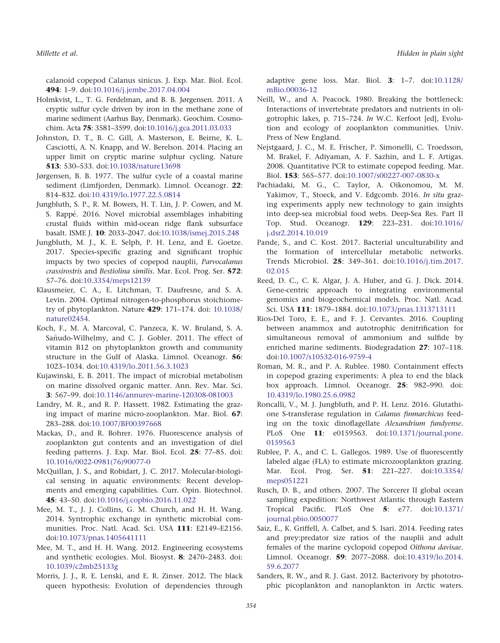calanoid copepod Calanus sinicus. J. Exp. Mar. Biol. Ecol. 494: 1–9. doi[:10.1016/j.jembe.2017.04.004](http://dx.doi.org/10.1016/j.jembe.2017.04.004)

- Holmkvist, L., T. G. Ferdelman, and B. B. Jørgensen. 2011. A cryptic sulfur cycle driven by iron in the methane zone of marine sediment (Aarhus Bay, Denmark). Geochim. Cosmochim. Acta 75: 3581–3599. doi:[10.1016/j.gca.2011.03.033](http://dx.doi.org/10.1016/j.gca.2011.03.033)
- Johnston, D. T., B. C. Gill, A. Masterson, E. Beirne, K. L. Casciotti, A. N. Knapp, and W. Berelson. 2014. Placing an upper limit on cryptic marine sulphur cycling. Nature 513: 530–533. doi:[10.1038/nature13698](http://dx.doi.org/10.1038/nature13698)
- Jørgensen, B. B. 1977. The sulfur cycle of a coastal marine sediment (Limfjorden, Denmark). Limnol. Oceanogr. 22: 814–832. doi[:10.4319/lo.1977.22.5.0814](http://dx.doi.org/10.4319/lo.1977.22.5.0814)
- Jungbluth, S. P., R. M. Bowers, H. T. Lin, J. P. Cowen, and M. S. Rappé. 2016. Novel microbial assemblages inhabiting crustal fluids within mid-ocean ridge flank subsurface basalt. ISME J. 10: 2033–2047. doi:[10.1038/ismej.2015.248](http://dx.doi.org/10.1038/ismej.2015.248)
- Jungbluth, M. J., K. E. Selph, P. H. Lenz, and E. Goetze. 2017. Species-specific grazing and significant trophic impacts by two species of copepod nauplii, Parvocalanus crassirostris and Bestiolina similis. Mar. Ecol. Prog. Ser. 572: 57–76. doi:[10.3354/meps12139](http://dx.doi.org/10.3354/meps12139)
- Klausmeier, C. A., E. Litchman, T. Daufresne, and S. A. Levin. 2004. Optimal nitrogen-to-phosphorus stoichiometry of phytoplankton. Nature 429: 171–174. doi: [10.1038/](http://dx.doi.org/10.1038/nature02454) [nature02454](http://dx.doi.org/10.1038/nature02454).
- Koch, F., M. A. Marcoval, C. Panzeca, K. W. Bruland, S. A. Sañudo-Wilhelmy, and C. J. Gobler. 2011. The effect of vitamin B12 on phytoplankton growth and community structure in the Gulf of Alaska. Limnol. Oceanogr. 56: 1023–1034. doi:[10.4319/lo.2011.56.3.1023](http://dx.doi.org/10.4319/lo.2011.56.3.1023)
- Kujawinski, E. B. 2011. The impact of microbial metabolism on marine dissolved organic matter. Ann. Rev. Mar. Sci. 3: 567–99. doi[:10.1146/annurev-marine-120308-081003](http://dx.doi.org/10.1146/annurev-marine-120308-081003)
- Landry, M. R., and R. P. Hassett. 1982. Estimating the grazing impact of marine micro-zooplankton. Mar. Biol. 67: 283–288. doi[:10.1007/BF00397668](http://dx.doi.org/10.1007/BF00397668)
- Mackas, D., and R. Bohrer. 1976. Fluorescence analysis of zooplankton gut contents and an investigation of diel feeding patterns. J. Exp. Mar. Biol. Ecol. 25: 77–85. doi: [10.1016/0022-0981\(76\)90077-0](http://dx.doi.org/10.1016/0022-0981(76)90077-0)
- McQuillan, J. S., and Robidart, J. C. 2017. Molecular-biological sensing in aquatic environments: Recent developments and emerging capabilities. Curr. Opin. Biotechnol. 45: 43–50. doi:[10.1016/j.copbio.2016.11.022](http://dx.doi.org/10.1016/j.copbio.2016.11.022)
- Mee, M. T., J. J. Collins, G. M. Church, and H. H. Wang. 2014. Syntrophic exchange in synthetic microbial communities. Proc. Natl. Acad. Sci. USA 111: E2149–E2156. doi[:10.1073/pnas.1405641111](http://dx.doi.org/10.1073/pnas.1405641111)
- Mee, M. T., and H. H. Wang. 2012. Engineering ecosystems and synthetic ecologies. Mol. Biosyst. 8: 2470–2483. doi: [10.1039/c2mb25133g](http://dx.doi.org/10.1039/c2mb25133g)
- Morris, J. J., R. E. Lenski, and E. R. Zinser. 2012. The black queen hypothesis: Evolution of dependencies through

adaptive gene loss. Mar. Biol. 3: 1–7. doi:[10.1128/](http://dx.doi.org/10.1128/mBio.00036-12) [mBio.00036-12](http://dx.doi.org/10.1128/mBio.00036-12)

- Neill, W., and A. Peacock. 1980. Breaking the bottleneck: Interactions of invertebrate predators and nutrients in oligotrophic lakes, p. 715–724. In W.C. Kerfoot [ed], Evolution and ecology of zooplankton communities. Univ. Press of New England.
- Nejstgaard, J. C., M. E. Frischer, P. Simonelli, C. Troedsson, M. Brakel, F. Adiyaman, A. F. Sazhin, and L. F. Artigas. 2008. Quantitative PCR to estimate copepod feeding. Mar. Biol. 153: 565–577. doi:[10.1007/s00227-007-0830-x](http://dx.doi.org/10.1007/s00227-007-0830-x)
- Pachiadaki, M. G., C. Taylor, A. Oikonomou, M. M. Yakimov, T., Stoeck, and V. Edgcomb. 2016. In situ grazing experiments apply new technology to gain insights into deep-sea microbial food webs. Deep-Sea Res. Part II Top. Stud. Oceanogr. 129: 223–231. doi:[10.1016/](http://dx.doi.org/10.1016/j.dsr2.2014.10.019) [j.dsr2.2014.10.019](http://dx.doi.org/10.1016/j.dsr2.2014.10.019)
- Pande, S., and C. Kost. 2017. Bacterial unculturability and the formation of intercellular metabolic networks. Trends Microbiol. 25: 349–361. doi[:10.1016/j.tim.2017.](http://dx.doi.org/10.1016/j.tim.2017.02.015) [02.015](http://dx.doi.org/10.1016/j.tim.2017.02.015)
- Reed, D. C., C. K. Algar, J. A. Huber, and G. J. Dick. 2014. Gene-centric approach to integrating environmental genomics and biogeochemical models. Proc. Natl. Acad. Sci. USA 111: 1879–1884. doi:[10.1073/pnas.1313713111](http://dx.doi.org/10.1073/pnas.1313713111)
- Rios-Del Toro, E. E., and F. J. Cervantes. 2016. Coupling between anammox and autotrophic denitrification for simultaneous removal of ammonium and sulfide by enriched marine sediments. Biodegradation 27: 107–118. doi[:10.1007/s10532-016-9759-4](http://dx.doi.org/10.1007/s10532-016-9759-4)
- Roman, M. R., and P. A. Rublee. 1980. Containment effects in copepod grazing experiments: A plea to end the black box approach. Limnol. Oceanogr. 25: 982–990. doi: [10.4319/lo.1980.25.6.0982](http://dx.doi.org/10.4319/lo.1980.25.6.0982)
- Roncalli, V., M. J. Jungbluth, and P. H. Lenz. 2016. Glutathione S-transferase regulation in Calanus finmarchicus feeding on the toxic dinoflagellate Alexandrium fundyense. PLoS One 11: e0159563. doi[:10.1371/journal.pone.](http://dx.doi.org/10.1371/journal.pone.0159563) [0159563](http://dx.doi.org/10.1371/journal.pone.0159563)
- Rublee, P. A., and C. L. Gallegos. 1989. Use of fluorescently labeled algae (FLA) to estimate microzooplankton grazing. Mar. Ecol. Prog. Ser. 51: 221–227. doi:[10.3354/](http://dx.doi.org/10.3354/meps051221) [meps051221](http://dx.doi.org/10.3354/meps051221)
- Rusch, D. B., and others. 2007. The Sorcerer II global ocean sampling expedition: Northwest Atlantic through Eastern Tropical Pacific. PLoS One 5: e77. doi:[10.1371/](http://dx.doi.org/10.1371/journal.pbio.0050077) [journal.pbio.0050077](http://dx.doi.org/10.1371/journal.pbio.0050077)
- Saiz, E., K. Griffell, A. Calbet, and S. Isari. 2014. Feeding rates and prey:predator size ratios of the nauplii and adult females of the marine cyclopoid copepod Oithona davisae. Limnol. Oceanogr. 59: 2077–2088. doi:[10.4319/lo.2014.](http://dx.doi.org/10.4319/lo.2014.59.6.2077) [59.6.2077](http://dx.doi.org/10.4319/lo.2014.59.6.2077)
- Sanders, R. W., and R. J. Gast. 2012. Bacterivory by phototrophic picoplankton and nanoplankton in Arctic waters.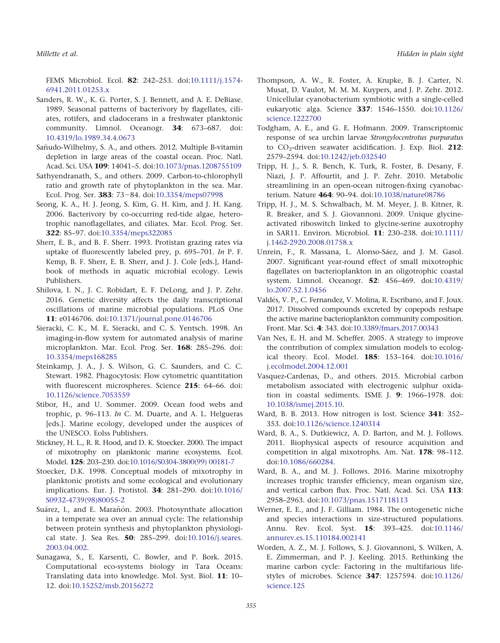FEMS Microbiol. Ecol. 82: 242–253. doi:[10.1111/j.1574-](http://dx.doi.org/10.1111/j.1574-6941.2011.01253.x) [6941.2011.01253.x](http://dx.doi.org/10.1111/j.1574-6941.2011.01253.x)

- Sanders, R. W., K. G. Porter, S. J. Bennett, and A. E. DeBiase. 1989. Seasonal patterns of bacterivory by flagellates, ciliates, rotifers, and cladocerans in a freshwater planktonic community. Limnol. Oceanogr. 34: 673–687. doi: [10.4319/lo.1989.34.4.0673](http://dx.doi.org/10.4319/lo.1989.34.4.0673)
- Sañudo-Wilhelmy, S. A., and others. 2012. Multiple B-vitamin depletion in large areas of the coastal ocean. Proc. Natl. Acad. Sci. USA 109: 14041–5. doi:[10.1073/pnas.1208755109](http://dx.doi.org/10.1073/pnas.1208755109)
- Sathyendranath, S., and others. 2009. Carbon-to-chlorophyll ratio and growth rate of phytoplankton in the sea. Mar. Ecol. Prog. Ser. 383: 73-84. doi[:10.3354/meps07998](http://dx.doi.org/10.3354/meps07998)
- Seong, K. A., H. J. Jeong, S. Kim, G. H. Kim, and J. H. Kang. 2006. Bacterivory by co-occurring red-tide algae, heterotrophic nanoflagellates, and ciliates. Mar. Ecol. Prog. Ser. 322: 85–97. doi[:10.3354/meps322085](http://dx.doi.org/10.3354/meps322085)
- Sherr, E. B., and B. F. Sherr. 1993. Protistan grazing rates via uptake of fluorescently labeled prey, p. 695–701. In P. F. Kemp, B. F. Sherr, E. B. Sherr, and J. J. Cole [eds.], Handbook of methods in aquatic microbial ecology. Lewis Publishers.
- Shilova, I. N., J. C. Robidart, E. F. DeLong, and J. P. Zehr. 2016. Genetic diversity affects the daily transcriptional oscillations of marine microbial populations. PLoS One 11: e0146706. doi[:10.1371/journal.pone.0146706](http://dx.doi.org/10.1371/journal.pone.0146706)
- Sieracki, C. K., M. E. Sieracki, and C. S. Yentsch. 1998. An imaging-in-flow system for automated analysis of marine microplankton. Mar. Ecol. Prog. Ser. 168: 285–296. doi: [10.3354/meps168285](http://dx.doi.org/10.3354/meps168285)
- Steinkamp, J. A., J. S. Wilson, G. C. Saunders, and C. C. Stewart. 1982. Phagocytosis: Flow cytometric quantitation with fluorescent microspheres. Science 215: 64–66. doi: [10.1126/science.7053559](http://dx.doi.org/10.1126/science.7053559)
- Stibor, H., and U. Sommer. 2009. Ocean food webs and trophic, p. 96–113. In C. M. Duarte, and A. L. Helgueras [eds.]. Marine ecology, developed under the auspices of the UNESCO. Eolss Publishers.
- Stickney, H. L., R. R. Hood, and D. K. Stoecker. 2000. The impact of mixotrophy on planktonic marine ecosystems. Ecol. Model. 125: 203–230. doi[:10.1016/S0304-3800\(99\) 00181-7](http://dx.doi.org/10.1016/S0304-3800(99)00181-7)
- Stoecker, D.K. 1998. Conceptual models of mixotrophy in planktonic protists and some ecological and evolutionary implications. Eur. J. Protistol. 34: 281–290. doi:[10.1016/](http://dx.doi.org/10.1016/S0932-4739(98)80055-2) [S0932-4739\(98\)80055-2](http://dx.doi.org/10.1016/S0932-4739(98)80055-2)
- Suárez, I., and E. Marañón. 2003. Photosynthate allocation in a temperate sea over an annual cycle: The relationship between protein synthesis and phytoplankton physiological state. J. Sea Res. 50: 285–299. doi:[10.1016/j.seares.](http://dx.doi.org/10.1016/j.seares.2003.04.002) [2003.04.002.](http://dx.doi.org/10.1016/j.seares.2003.04.002)
- Sunagawa, S., E. Karsenti, C. Bowler, and P. Bork. 2015. Computational eco-systems biology in Tara Oceans: Translating data into knowledge. Mol. Syst. Biol. 11: 10– 12. doi[:10.15252/msb.20156272](http://dx.doi.org/10.15252/msb.20156272)
- Thompson, A. W., R. Foster, A. Krupke, B. J. Carter, N. Musat, D. Vaulot, M. M. M. Kuypers, and J. P. Zehr. 2012. Unicellular cyanobacterium symbiotic with a single-celled eukaryotic alga. Science 337: 1546–1550. doi:[10.1126/](http://dx.doi.org/10.1126/science.1222700) [science.1222700](http://dx.doi.org/10.1126/science.1222700)
- Todgham, A. E., and G. E. Hofmann. 2009. Transcriptomic response of sea urchin larvae Strongylocentrotus purpuratus to  $CO<sub>2</sub>$ -driven seawater acidification. J. Exp. Biol. 212: 2579–2594. doi:[10.1242/jeb.032540](http://dx.doi.org/10.1242/jeb.032540)
- Tripp, H. J., S. R. Bench, K. Turk, R. Foster, B. Desany, F. Niazi, J. P. Affourtit, and J. P. Zehr. 2010. Metabolic streamlining in an open-ocean nitrogen-fixing cyanobacterium. Nature 464: 90–94. doi:[10.1038/nature08786](http://dx.doi.org/10.1038/nature08786)
- Tripp, H. J., M. S. Schwalbach, M. M. Meyer, J. B. Kitner, R. R. Breaker, and S. J. Giovannoni. 2009. Unique glycineactivated riboswitch linked to glycine-serine auxotrophy in SAR11. Environ. Microbiol. 11: 230–238. doi:[10.1111/](http://dx.doi.org/10.1111/j.1462-2920.2008.01758.x) [j.1462-2920.2008.01758.x](http://dx.doi.org/10.1111/j.1462-2920.2008.01758.x)
- Unrein, F., R. Massana, L. Alonso-Sáez, and J. M. Gasol. 2007. Significant year-round effect of small mixotrophic flagellates on bacterioplankton in an oligotrophic coastal system. Limnol. Oceanogr. 52: 456–469. doi[:10.4319/](http://dx.doi.org/10.4319/lo.2007.52.1.0456) [lo.2007.52.1.0456](http://dx.doi.org/10.4319/lo.2007.52.1.0456)
- Valdés, V. P., C. Fernandez, V. Molina, R. Escribano, and F. Joux. 2017. Dissolved compounds excreted by copepods reshape the active marine bacterioplankton community composition. Front. Mar. Sci. 4: 343. doi[:10.3389/fmars.2017.00343](http://dx.doi.org/10.3389/fmars.2017.00343)
- Van Nes, E. H. and M. Scheffer. 2005. A strategy to improve the contribution of complex simulation models to ecological theory. Ecol. Model. 185: 153–164. doi[:10.1016/](http://dx.doi.org/10.1016/j.ecolmodel.2004.12.001) [j.ecolmodel.2004.12.001](http://dx.doi.org/10.1016/j.ecolmodel.2004.12.001)
- Vasquez-Cardenas, D., and others. 2015. Microbial carbon metabolism associated with electrogenic sulphur oxidation in coastal sediments. ISME J. 9: 1966–1978. doi: [10.1038/ismej.2015.10](http://dx.doi.org/10.1038/ismej.2015.10).
- Ward, B. B. 2013. How nitrogen is lost. Science 341: 352– 353. doi[:10.1126/science.1240314](http://dx.doi.org/10.1126/science.1240314)
- Ward, B. A., S. Dutkiewicz, A. D. Barton, and M. J. Follows. 2011. Biophysical aspects of resource acquisition and competition in algal mixotrophs. Am. Nat. 178: 98–112. doi[:10.1086/660284](http://dx.doi.org/10.1086/660284).
- Ward, B. A., and M. J. Follows. 2016. Marine mixotrophy increases trophic transfer efficiency, mean organism size, and vertical carbon flux. Proc. Natl. Acad. Sci. USA 113: 2958–2963. doi:[10.1073/pnas.1517118113](http://dx.doi.org/10.1073/pnas.1517118113)
- Werner, E. E., and J. F. Gilliam. 1984. The ontogenetic niche and species interactions in size-structured populations. Annu. Rev. Ecol. Syst. 15: 393–425. doi:[10.1146/](http://dx.doi.org/10.1146/annurev.es.15.110184.002141) [annurev.es.15.110184.002141](http://dx.doi.org/10.1146/annurev.es.15.110184.002141)
- Worden, A. Z., M. J. Follows, S. J. Giovannoni, S. Wilken, A. E. Zimmerman, and P. J. Keeling. 2015. Rethinking the marine carbon cycle: Factoring in the multifarious lifestyles of microbes. Science 347: 1257594. doi:[10.1126/](http://dx.doi.org/10.1126/science.125) [science.125](http://dx.doi.org/10.1126/science.125)